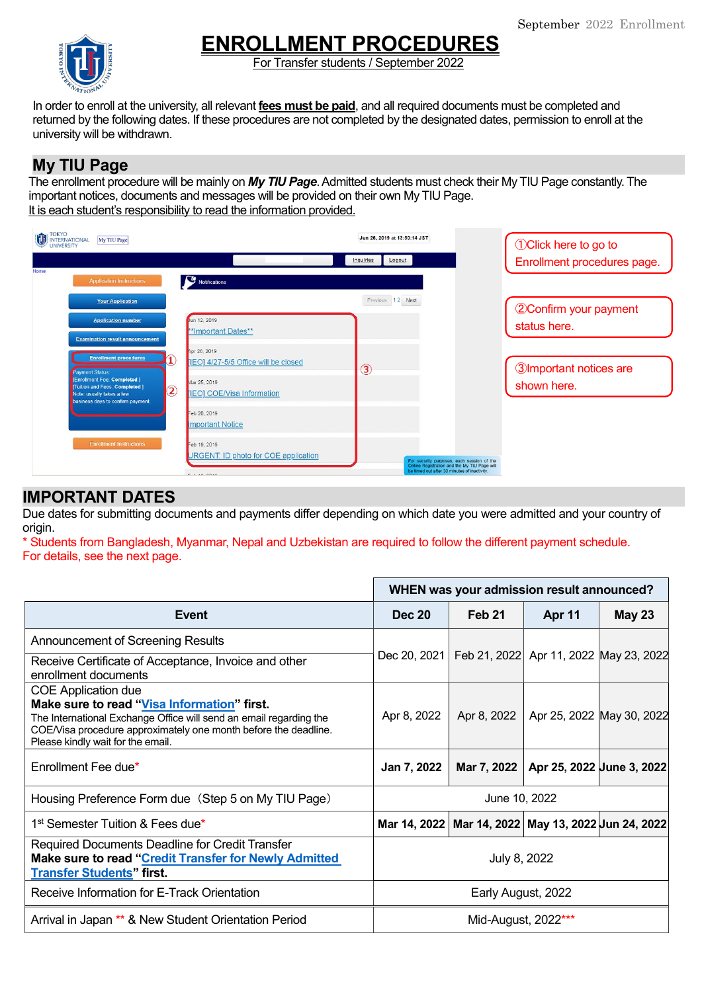

# **ENROLLMENT PROCEDURES**

For Transfer students / September 2022

In order to enroll at the university, all relevant **fees must be paid**, and all required documents must be completed and returned by the following dates. If these procedures are not completed by the designated dates, permission to enroll at the university will be withdrawn.

## **My TIU Page**

The enrollment procedure will be mainly on *My TIU Page*. Admitted students must check their My TIU Page constantly. The important notices, documents and messages will be provided on their own My TIU Page. It is each student's responsibility to read the information provided.



# **IMPORTANT DATES**

Due dates for submitting documents and payments differ depending on which date you were admitted and your country of origin.

\* Students from Bangladesh, Myanmar, Nepal and Uzbekistan are required to follow the different payment schedule. For details, see the next page.

|                                                                                                                                                                                                                                                         | WHEN was your admission result announced? |               |                                        |               |
|---------------------------------------------------------------------------------------------------------------------------------------------------------------------------------------------------------------------------------------------------------|-------------------------------------------|---------------|----------------------------------------|---------------|
| Event                                                                                                                                                                                                                                                   | <b>Dec 20</b>                             | <b>Feb 21</b> | <b>Apr 11</b>                          | <b>May 23</b> |
| Announcement of Screening Results                                                                                                                                                                                                                       |                                           |               |                                        |               |
| Receive Certificate of Acceptance, Invoice and other<br>enrollment documents                                                                                                                                                                            | Dec 20, 2021                              |               | Feb 21, 2022 Apr 11, 2022 May 23, 2022 |               |
| <b>COE Application due</b><br>Make sure to read "Visa Information" first.<br>The International Exchange Office will send an email regarding the<br>COE/Visa procedure approximately one month before the deadline.<br>Please kindly wait for the email. | Apr 8, 2022                               | Apr 8, 2022   | Apr 25, 2022 May 30, 2022              |               |
| Enrollment Fee due*                                                                                                                                                                                                                                     | Jan 7, 2022                               | Mar 7, 2022   | Apr 25, 2022 June 3, 2022              |               |
| Housing Preference Form due (Step 5 on My TIU Page)                                                                                                                                                                                                     | June 10, 2022                             |               |                                        |               |
| 1 <sup>st</sup> Semester Tuition & Fees due*                                                                                                                                                                                                            | Mar 14, 2022                              |               | Mar 14, 2022 May 13, 2022 Jun 24, 2022 |               |
| Required Documents Deadline for Credit Transfer<br>Make sure to read "Credit Transfer for Newly Admitted<br><b>Transfer Students" first</b>                                                                                                             | July 8, 2022                              |               |                                        |               |
| Receive Information for E-Track Orientation                                                                                                                                                                                                             | Early August, 2022                        |               |                                        |               |
| Arrival in Japan ** & New Student Orientation Period                                                                                                                                                                                                    | Mid-August, 2022***                       |               |                                        |               |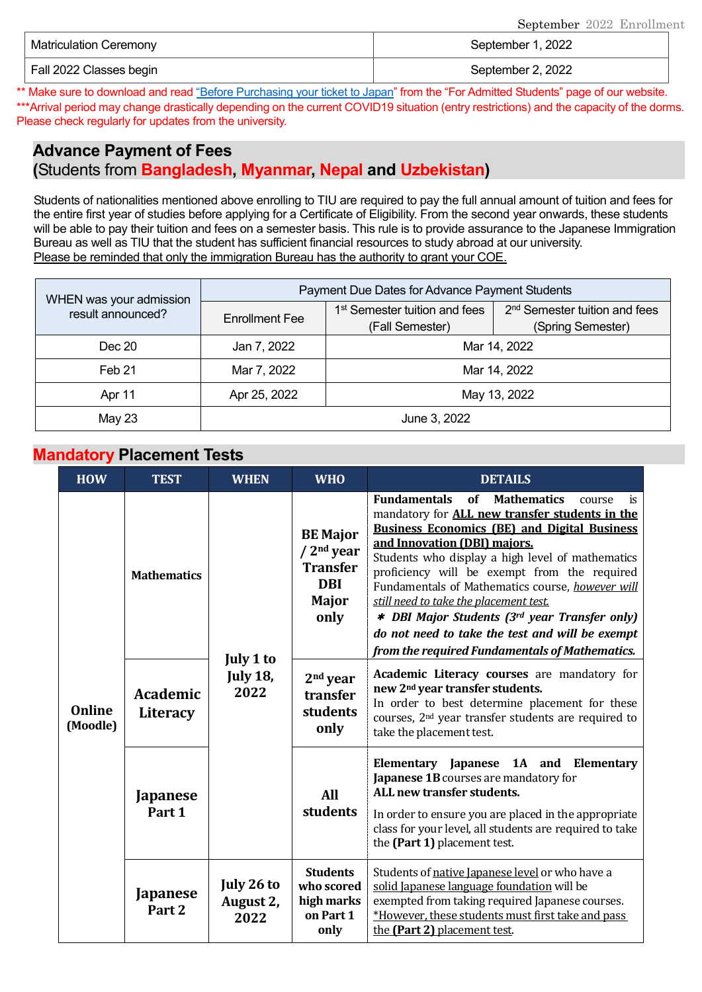| <b>Matriculation Ceremony</b> | September 1, 2022 |  |  |
|-------------------------------|-------------------|--|--|
| Fall 2022 Classes begin       | September 2, 2022 |  |  |

\*\* Make sure to download and rea[d "Before Purchasing your ticket to Japan"](https://www.tiu.ac.jp/etrack/admissions/docs/Before_Purchasing_Your_Ticket_to_Japan.pdf) from the "For Admitted Students" page of our website. \*\*\*Arrival period may change drastically depending on the current COVID19 situation (entry restrictions) and the capacity of the dorms. Please check regularly for updates from the university.

# **Advance Payment of Fees**

**(**Students from **Bangladesh, Myanmar, Nepal and Uzbekistan)** 

Students of nationalities mentioned above enrolling to TIU are required to pay the full annual amount of tuition and fees for the entire first year of studies before applying for a Certificate of Eligibility. From the second year onwards, these students will be able to pay their tuition and fees on a semester basis. This rule is to provide assurance to the Japanese Immigration Bureau as well as TIU that the student has sufficient financial resources to study abroad at our university. Please be reminded that only the immigration Bureau has the authority to grant your COE.

| WHEN was your admission | Payment Due Dates for Advance Payment Students |                                                                                                                                |  |  |
|-------------------------|------------------------------------------------|--------------------------------------------------------------------------------------------------------------------------------|--|--|
| result announced?       | <b>Enrollment Fee</b>                          | 1 <sup>st</sup> Semester tuition and fees<br>2 <sup>nd</sup> Semester tuition and fees<br>(Spring Semester)<br>(Fall Semester) |  |  |
| Dec 20                  | Jan 7, 2022                                    | Mar 14, 2022                                                                                                                   |  |  |
| Feb 21                  | Mar 7, 2022                                    | Mar 14, 2022                                                                                                                   |  |  |
| Apr 11                  | Apr 25, 2022                                   | May 13, 2022                                                                                                                   |  |  |
| May 23                  | June 3, 2022                                   |                                                                                                                                |  |  |

#### **Mandatory Placement Tests**

| <b>HOW</b>                | <b>TEST</b>                          | <b>WHEN</b>                     | <b>WHO</b>                                                                                        | <b>DETAILS</b>                                                                                                                                                                                                                                                                                                                                                                                                                                                                                                                                                                 |  |  |
|---------------------------|--------------------------------------|---------------------------------|---------------------------------------------------------------------------------------------------|--------------------------------------------------------------------------------------------------------------------------------------------------------------------------------------------------------------------------------------------------------------------------------------------------------------------------------------------------------------------------------------------------------------------------------------------------------------------------------------------------------------------------------------------------------------------------------|--|--|
| <b>Online</b><br>(Moodle) | <b>Mathematics</b>                   | July 1 to                       | <b>BE Major</b><br>/2 <sup>nd</sup> year<br><b>Transfer</b><br><b>DBI</b><br><b>Major</b><br>only | <b>Fundamentals</b><br><b>of</b><br><b>Mathematics</b><br>course<br>is<br>mandatory for <b>ALL new transfer students in the</b><br><b>Business Economics (BE) and Digital Business</b><br>and Innovation (DBI) majors.<br>Students who display a high level of mathematics<br>proficiency will be exempt from the required<br>Fundamentals of Mathematics course, however will<br>still need to take the placement test.<br>* DBI Major Students (3rd year Transfer only)<br>do not need to take the test and will be exempt<br>from the required Fundamentals of Mathematics. |  |  |
|                           | <b>Academic</b><br>Literacy          | <b>July 18,</b><br>2022         | $2nd$ year<br>transfer<br>students<br>only                                                        | Academic Literacy courses are mandatory for<br>new 2 <sup>nd</sup> year transfer students.<br>In order to best determine placement for these<br>courses, 2 <sup>nd</sup> year transfer students are required to<br>take the placement test.                                                                                                                                                                                                                                                                                                                                    |  |  |
|                           | <b>Japanese</b><br>Part 1            |                                 | <b>All</b><br>students                                                                            | Elementary Japanese 1A and Elementary<br>Japanese 1B courses are mandatory for<br>ALL new transfer students.<br>In order to ensure you are placed in the appropriate<br>class for your level, all students are required to take<br>the (Part 1) placement test.                                                                                                                                                                                                                                                                                                                |  |  |
|                           | <b>Japanese</b><br>Part <sub>2</sub> | July 26 to<br>August 2,<br>2022 | <b>Students</b><br>who scored<br>high marks<br>on Part 1<br>only                                  | Students of native Japanese level or who have a<br>solid Japanese language foundation will be<br>exempted from taking required Japanese courses.<br>*However, these students must first take and pass<br>the (Part 2) placement test.                                                                                                                                                                                                                                                                                                                                          |  |  |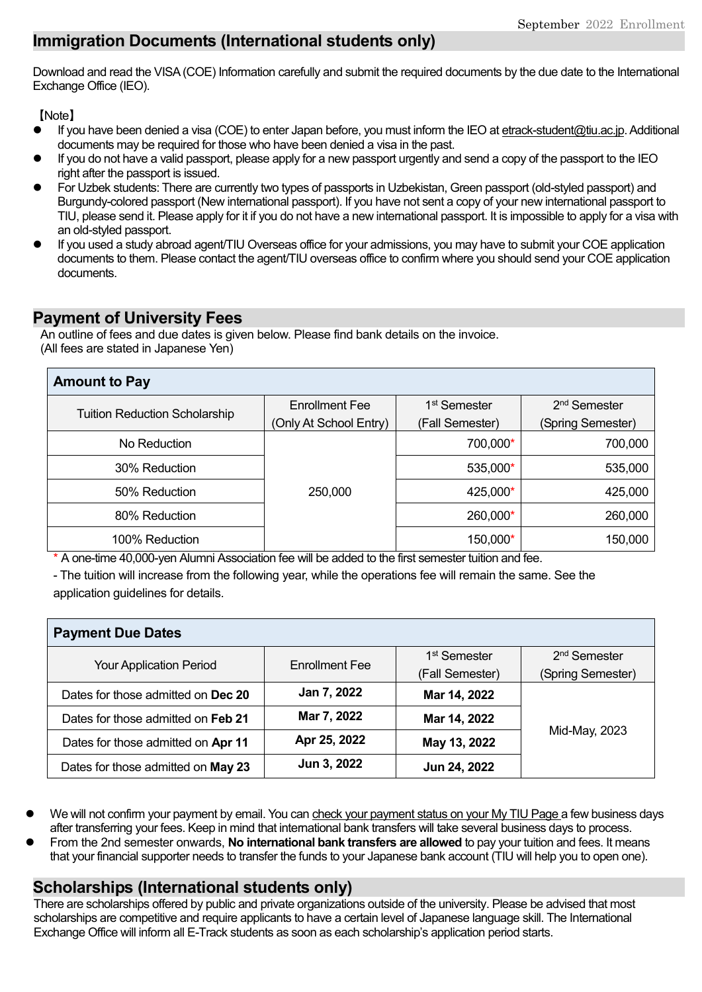# **Immigration Documents (International students only)**

Download and read the VISA(COE) Information carefully and submit the required documents by the due date to the International Exchange Office (IEO).

【Note】

- If you have been denied a visa (COE) to enter Japan before, you must inform the IEO a[t etrack-student@tiu.ac.jp.](mailto:etrack-student@tiu.ac.jp) Additional documents may be required for those who have been denied a visa in the past.
- If you do not have a valid passport, please apply for a new passport urgently and send a copy of the passport to the IEO right after the passport is issued.
- For Uzbek students: There are currently two types of passports in Uzbekistan, Green passport (old-styled passport) and Burgundy-colored passport (New international passport). If you have not sent a copy of your new international passport to TIU, please send it. Please apply for it if you do not have a new international passport. It is impossible to apply for a visa with an old-styled passport.
- If you used a study abroad agent/TIU Overseas office for your admissions, you may have to submit your COE application documents to them. Please contact the agent/TIU overseas office to confirm where you should send your COE application documents.

### **Payment of University Fees**

An outline of fees and due dates is given below. Please find bank details on the invoice. (All fees are stated in Japanese Yen)

| <b>Amount to Pay</b>                 |                        |                          |                          |  |  |  |
|--------------------------------------|------------------------|--------------------------|--------------------------|--|--|--|
| <b>Tuition Reduction Scholarship</b> | <b>Enrollment Fee</b>  | 1 <sup>st</sup> Semester | 2 <sup>nd</sup> Semester |  |  |  |
|                                      | (Only At School Entry) | (Fall Semester)          | (Spring Semester)        |  |  |  |
| No Reduction                         |                        | 700,000*                 | 700,000                  |  |  |  |
| 30% Reduction                        |                        | 535,000*                 | 535,000                  |  |  |  |
| 50% Reduction                        | 250,000                | 425,000*                 | 425,000                  |  |  |  |
| 80% Reduction                        |                        | 260,000*                 | 260,000                  |  |  |  |
| 100% Reduction                       |                        | 150,000*                 | 150,000                  |  |  |  |

\* A one-time 40,000-yen Alumni Association fee will be added to the first semester tuition and fee.

- The tuition will increase from the following year, while the operations fee will remain the same. See the application guidelines for details.

| <b>Payment Due Dates</b>           |                       |                          |                          |  |
|------------------------------------|-----------------------|--------------------------|--------------------------|--|
| <b>Your Application Period</b>     | <b>Enrollment Fee</b> | 1 <sup>st</sup> Semester | 2 <sup>nd</sup> Semester |  |
|                                    |                       | (Fall Semester)          | (Spring Semester)        |  |
| Dates for those admitted on Dec 20 | Jan 7, 2022           | Mar 14, 2022             |                          |  |
| Dates for those admitted on Feb 21 | Mar 7, 2022           | Mar 14, 2022             | Mid-May, 2023            |  |
| Dates for those admitted on Apr 11 | Apr 25, 2022          | May 13, 2022             |                          |  |
| Dates for those admitted on May 23 | Jun 3, 2022           | Jun 24, 2022             |                          |  |

- We will not confirm your payment by email. You can check your payment status on your My TIU Page a few business days after transferring your fees. Keep in mind that international bank transfers will take several business days to process.
- From the 2nd semester onwards, **No international bank transfers are allowed** to pay your tuition and fees. It means that your financial supporter needs to transfer the funds to your Japanese bank account (TIU will help you to open one).

### **Scholarships (International students only)**

There are scholarships offered by public and private organizations outside of the university. Please be advised that most scholarships are competitive and require applicants to have a certain level of Japanese language skill. The International Exchange Office will inform all E-Track students as soon as each scholarship's application period starts.